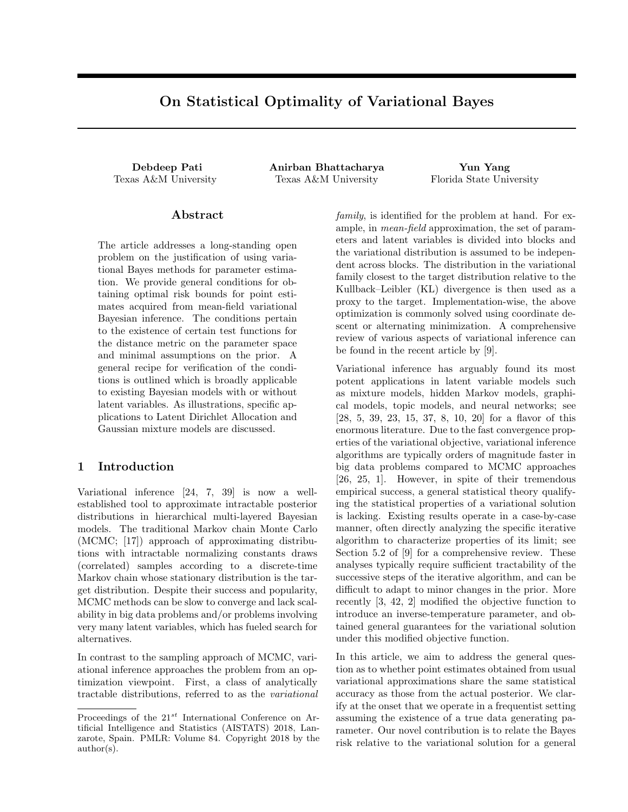# On Statistical Optimality of Variational Bayes

Debdeep Pati Anirban Bhattacharya Yun Yang Texas A&M University Texas A&M University Florida State University

### Abstract

The article addresses a long-standing open problem on the justification of using variational Bayes methods for parameter estimation. We provide general conditions for obtaining optimal risk bounds for point estimates acquired from mean-field variational Bayesian inference. The conditions pertain to the existence of certain test functions for the distance metric on the parameter space and minimal assumptions on the prior. A general recipe for verification of the conditions is outlined which is broadly applicable to existing Bayesian models with or without latent variables. As illustrations, specific applications to Latent Dirichlet Allocation and Gaussian mixture models are discussed.

### 1 Introduction

Variational inference [24, 7, 39] is now a wellestablished tool to approximate intractable posterior distributions in hierarchical multi-layered Bayesian models. The traditional Markov chain Monte Carlo (MCMC; [17]) approach of approximating distributions with intractable normalizing constants draws (correlated) samples according to a discrete-time Markov chain whose stationary distribution is the target distribution. Despite their success and popularity, MCMC methods can be slow to converge and lack scalability in big data problems and/or problems involving very many latent variables, which has fueled search for alternatives.

In contrast to the sampling approach of MCMC, variational inference approaches the problem from an optimization viewpoint. First, a class of analytically tractable distributions, referred to as the variational

family, is identified for the problem at hand. For example, in mean-field approximation, the set of parameters and latent variables is divided into blocks and the variational distribution is assumed to be independent across blocks. The distribution in the variational family closest to the target distribution relative to the Kullback–Leibler (KL) divergence is then used as a proxy to the target. Implementation-wise, the above optimization is commonly solved using coordinate descent or alternating minimization. A comprehensive review of various aspects of variational inference can be found in the recent article by [9].

Variational inference has arguably found its most potent applications in latent variable models such as mixture models, hidden Markov models, graphical models, topic models, and neural networks; see [28, 5, 39, 23, 15, 37, 8, 10, 20] for a flavor of this enormous literature. Due to the fast convergence properties of the variational objective, variational inference algorithms are typically orders of magnitude faster in big data problems compared to MCMC approaches [26, 25, 1]. However, in spite of their tremendous empirical success, a general statistical theory qualifying the statistical properties of a variational solution is lacking. Existing results operate in a case-by-case manner, often directly analyzing the specific iterative algorithm to characterize properties of its limit; see Section 5.2 of [9] for a comprehensive review. These analyses typically require sufficient tractability of the successive steps of the iterative algorithm, and can be difficult to adapt to minor changes in the prior. More recently [3, 42, 2] modified the objective function to introduce an inverse-temperature parameter, and obtained general guarantees for the variational solution under this modified objective function.

In this article, we aim to address the general question as to whether point estimates obtained from usual variational approximations share the same statistical accuracy as those from the actual posterior. We clarify at the onset that we operate in a frequentist setting assuming the existence of a true data generating parameter. Our novel contribution is to relate the Bayes risk relative to the variational solution for a general

Proceedings of the  $21^{st}$  International Conference on Artificial Intelligence and Statistics (AISTATS) 2018, Lanzarote, Spain. PMLR: Volume 84. Copyright 2018 by the author(s).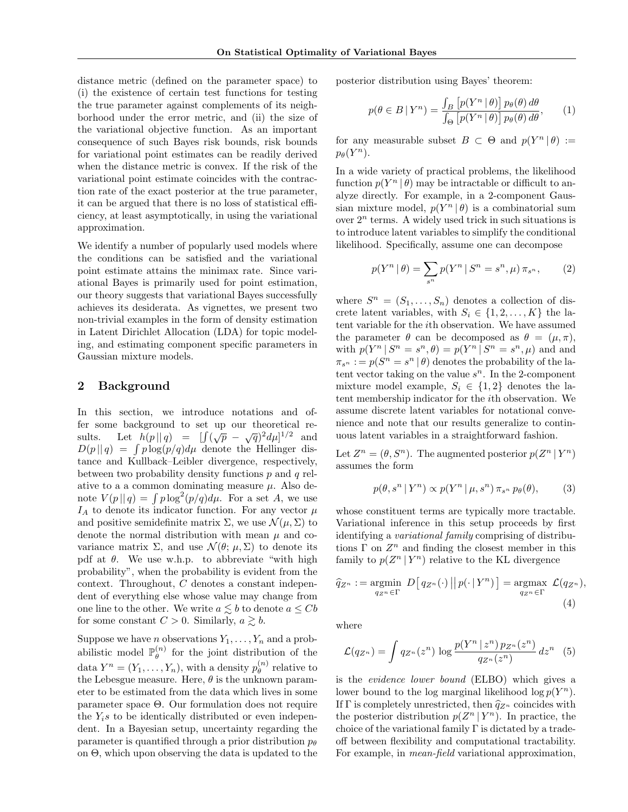distance metric (defined on the parameter space) to (i) the existence of certain test functions for testing the true parameter against complements of its neighborhood under the error metric, and (ii) the size of the variational objective function. As an important consequence of such Bayes risk bounds, risk bounds for variational point estimates can be readily derived when the distance metric is convex. If the risk of the variational point estimate coincides with the contraction rate of the exact posterior at the true parameter, it can be argued that there is no loss of statistical efficiency, at least asymptotically, in using the variational approximation.

We identify a number of popularly used models where the conditions can be satisfied and the variational point estimate attains the minimax rate. Since variational Bayes is primarily used for point estimation, our theory suggests that variational Bayes successfully achieves its desiderata. As vignettes, we present two non-trivial examples in the form of density estimation in Latent Dirichlet Allocation (LDA) for topic modeling, and estimating component specific parameters in Gaussian mixture models.

### 2 Background

In this section, we introduce notations and offer some background to set up our theoretical results. Let  $h(p||q) = \int (\sqrt{p} - \sqrt{q})^2 d\mu^{1/2}$  and  $D(p||q) = \int p \log(p/q) d\mu$  denote the Hellinger distance and Kullback–Leibler divergence, respectively, between two probability density functions  $p$  and  $q$  relative to a a common dominating measure  $\mu$ . Also denote  $V(p||q) = \int p \log^2(p/q) d\mu$ . For a set A, we use  $I_A$  to denote its indicator function. For any vector  $\mu$ and positive semidefinite matrix  $\Sigma$ , we use  $\mathcal{N}(\mu, \Sigma)$  to denote the normal distribution with mean  $\mu$  and covariance matrix  $\Sigma$ , and use  $\mathcal{N}(\theta; \mu, \Sigma)$  to denote its pdf at  $\theta$ . We use w.h.p. to abbreviate "with high probability", when the probability is evident from the context. Throughout, C denotes a constant independent of everything else whose value may change from one line to the other. We write  $a \lesssim b$  to denote  $a \leq Cb$ for some constant  $C > 0$ . Similarly,  $a \gtrsim b$ .

Suppose we have *n* observations  $Y_1, \ldots, Y_n$  and a probabilistic model  $\mathbb{P}_{\theta}^{(n)}$  $\theta_{\theta}^{(n)}$  for the joint distribution of the data  $Y^n = (Y_1, \ldots, Y_n)$ , with a density  $p_{\theta}^{(n)}$  $\int_{\theta}^{(n)}$  relative to the Lebesgue measure. Here,  $\theta$  is the unknown parameter to be estimated from the data which lives in some parameter space Θ. Our formulation does not require the  $Y_i$ s to be identically distributed or even independent. In a Bayesian setup, uncertainty regarding the parameter is quantified through a prior distribution  $p_{\theta}$ on Θ, which upon observing the data is updated to the posterior distribution using Bayes' theorem:

$$
p(\theta \in B \mid Y^n) = \frac{\int_B [p(Y^n | \theta)] p_{\theta}(\theta) d\theta}{\int_{\Theta} [p(Y^n | \theta)] p_{\theta}(\theta) d\theta}, \qquad (1)
$$

for any measurable subset  $B \subset \Theta$  and  $p(Y^n | \theta) :=$  $p_{\theta}(Y^n)$ .

In a wide variety of practical problems, the likelihood function  $p(Y^n | \theta)$  may be intractable or difficult to analyze directly. For example, in a 2-component Gaussian mixture model,  $p(Y^n | \theta)$  is a combinatorial sum over  $2^n$  terms. A widely used trick in such situations is to introduce latent variables to simplify the conditional likelihood. Specifically, assume one can decompose

$$
p(Y^n | \theta) = \sum_{s^n} p(Y^n | S^n = s^n, \mu) \pi_{s^n}, \qquad (2)
$$

where  $S^n = (S_1, \ldots, S_n)$  denotes a collection of discrete latent variables, with  $S_i \in \{1, 2, ..., K\}$  the latent variable for the ith observation. We have assumed the parameter  $\theta$  can be decomposed as  $\theta = (\mu, \pi)$ , with  $p(Y^n | S^n = s^n, \theta) = p(Y^n | S^n = s^n, \mu)$  and and  $\pi_{s^n} := p(S^n = s^n | \theta)$  denotes the probability of the latent vector taking on the value  $s^n$ . In the 2-component mixture model example,  $S_i \in \{1,2\}$  denotes the latent membership indicator for the ith observation. We assume discrete latent variables for notational convenience and note that our results generalize to continuous latent variables in a straightforward fashion.

Let  $Z^n = (\theta, S^n)$ . The augmented posterior  $p(Z^n | Y^n)$ assumes the form

$$
p(\theta, s^n | Y^n) \propto p(Y^n | \mu, s^n) \pi_{s^n} p_\theta(\theta), \tag{3}
$$

whose constituent terms are typically more tractable. Variational inference in this setup proceeds by first identifying a variational family comprising of distributions  $\Gamma$  on  $Z^n$  and finding the closest member in this family to  $p(Z^n | Y^n)$  relative to the KL divergence

$$
\widehat{q}_{Z^n} := \underset{q_{Z^n} \in \Gamma}{\text{argmin}} \ D\big[q_{Z^n}(\cdot) \, || \, p(\cdot \, | \, Y^n)\big] = \underset{q_{Z^n} \in \Gamma}{\text{argmax}} \ \mathcal{L}(q_{Z^n}),
$$
\n
$$
\tag{4}
$$

where

$$
\mathcal{L}(q_{Z^n}) = \int q_{Z^n}(z^n) \, \log \frac{p(Y^n \mid z^n) \, p_{Z^n}(z^n)}{q_{Z^n}(z^n)} \, dz^n \quad (5)
$$

is the evidence lower bound (ELBO) which gives a lower bound to the log marginal likelihood  $\log p(Y^n)$ . If  $\Gamma$  is completely unrestricted, then  $\hat{q}_{Z^n}$  coincides with the posterior distribution  $p(Z^n | Y^n)$ . In practice, the choice of the variational family  $\Gamma$  is dictated by a tradeoff between flexibility and computational tractability. For example, in mean-field variational approximation,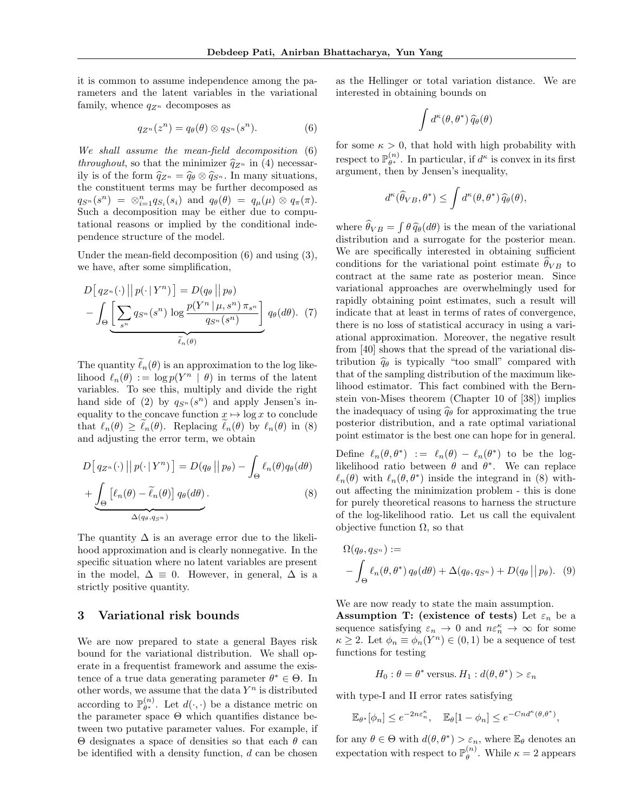it is common to assume independence among the parameters and the latent variables in the variational family, whence  $q_{Z^n}$  decomposes as

$$
q_{Z^n}(z^n) = q_\theta(\theta) \otimes q_{S^n}(s^n). \tag{6}
$$

We shall assume the mean-field decomposition (6) throughout, so that the minimizer  $\hat{q}_{Z^n}$  in (4) necessarily is of the form  $\hat{q}_{Z^n} = \hat{q}_{\theta} \otimes \hat{q}_{S^n}$ . In many situations, the constituent terms may be further decomposed as  $q_{S^n}(s^n) = \otimes_{i=1}^n q_{S_i}(s_i)$  and  $q_\theta(\theta) = q_\mu(\mu) \otimes q_\pi(\pi)$ . Such a decomposition may be either due to computational reasons or implied by the conditional independence structure of the model.

Under the mean-field decomposition (6) and using (3), we have, after some simplification,

$$
D\left[q_{Z^n}(\cdot) \middle| p(\cdot | Y^n)\right] = D(q_\theta \middle| p_\theta)
$$

$$
-\int_{\Theta} \underbrace{\left[\sum_{s^n} q_{S^n}(s^n) \log \frac{p(Y^n \mid \mu, s^n) \pi_{s^n}}{q_{S^n}(s^n)}\right]}_{\tilde{\ell}_n(\theta)} q_\theta(d\theta). (7)
$$

The quantity  $\tilde{\ell}_n(\theta)$  is an approximation to the log likelihood  $\ell_n(\theta) := \log p(Y^n | \theta)$  in terms of the latent variables. To see this, multiply and divide the right hand side of (2) by  $q_{S^n}(s^n)$  and apply Jensen's inequality to the concave function  $x \mapsto \log x$  to conclude that  $\ell_n(\theta) \geq \ell_n(\theta)$ . Replacing  $\ell_n(\theta)$  by  $\ell_n(\theta)$  in (8) and adjusting the error term, we obtain

$$
D\big[q_{Z^n}(\cdot)\big|\big|p(\cdot|Y^n)\big] = D(q_\theta\big|\big|p_\theta) - \int_{\Theta} \ell_n(\theta)q_\theta(d\theta)
$$

$$
+ \underbrace{\int_{\Theta} \big[\ell_n(\theta) - \tilde{\ell}_n(\theta)\big] q_\theta(d\theta)}_{\Delta(q_\theta, q_{S^n})}.
$$
 (8)

The quantity  $\Delta$  is an average error due to the likelihood approximation and is clearly nonnegative. In the specific situation where no latent variables are present in the model,  $\Delta \equiv 0$ . However, in general,  $\Delta$  is a strictly positive quantity.

### 3 Variational risk bounds

We are now prepared to state a general Bayes risk bound for the variational distribution. We shall operate in a frequentist framework and assume the existence of a true data generating parameter  $\theta^* \in \Theta$ . In other words, we assume that the data  $Y^n$  is distributed according to  $\mathbb{P}_{\theta^*}^{(n)}$  $\theta^{(n)}_{\theta^*}$ . Let  $d(\cdot, \cdot)$  be a distance metric on the parameter space  $\Theta$  which quantifies distance between two putative parameter values. For example, if Θ designates a space of densities so that each θ can be identified with a density function,  $d$  can be chosen as the Hellinger or total variation distance. We are interested in obtaining bounds on

$$
\int d^{\kappa}(\theta,\theta^*)\,\widehat{q}_{\theta}(\theta)
$$

for some  $\kappa > 0$ , that hold with high probability with respect to  $\mathbb{P}_{\theta^*}^{(n)}$  $\theta^{(n)}$ . In particular, if  $d^{\kappa}$  is convex in its first argument, then by Jensen's inequality,

$$
d^{\kappa}(\widehat{\theta}_{VB}, \theta^*) \leq \int d^{\kappa}(\theta, \theta^*) \,\widehat{q}_{\theta}(\theta),
$$

where  $\hat{\theta}_{VB} = \int \theta \, \hat{q}_{\theta}(d\theta)$  is the mean of the variational<br>distribution and a surrogate for the posterior mean distribution and a surrogate for the posterior mean. We are specifically interested in obtaining sufficient conditions for the variational point estimate  $\hat{\theta}_{VB}$  to contract at the same rate as posterior mean. Since variational approaches are overwhelmingly used for rapidly obtaining point estimates, such a result will indicate that at least in terms of rates of convergence, there is no loss of statistical accuracy in using a variational approximation. Moreover, the negative result from [40] shows that the spread of the variational distribution  $\hat{q}_{\theta}$  is typically "too small" compared with that of the sampling distribution of the maximum likelihood estimator. This fact combined with the Bernstein von-Mises theorem (Chapter 10 of [38]) implies the inadequacy of using  $\hat{q}_{\theta}$  for approximating the true posterior distribution, and a rate optimal variational point estimator is the best one can hope for in general.

Define  $\ell_n(\theta, \theta^*) := \ell_n(\theta) - \ell_n(\theta^*)$  to be the loglikelihood ratio between  $\theta$  and  $\theta^*$ . We can replace  $\ell_n(\theta)$  with  $\ell_n(\theta, \theta^*)$  inside the integrand in (8) without affecting the minimization problem - this is done for purely theoretical reasons to harness the structure of the log-likelihood ratio. Let us call the equivalent objective function  $\Omega$ , so that

$$
\Omega(q_{\theta}, q_{S^n}) :=
$$
  
 
$$
- \int_{\Theta} \ell_n(\theta, \theta^*) q_{\theta}(d\theta) + \Delta(q_{\theta}, q_{S^n}) + D(q_{\theta} || p_{\theta}).
$$
 (9)

We are now ready to state the main assumption.

Assumption T: (existence of tests) Let  $\varepsilon_n$  be a sequence satisfying  $\varepsilon_n \to 0$  and  $n \varepsilon_n^{\kappa} \to \infty$  for some  $\kappa \geq 2$ . Let  $\phi_n \equiv \phi_n(Y^n) \in (0,1)$  be a sequence of test functions for testing

$$
H_0: \theta = \theta^*
$$
 versus.  $H_1: d(\theta, \theta^*) > \varepsilon_n$ 

with type-I and II error rates satisfying

$$
\mathbb{E}_{\theta^*}[\phi_n] \le e^{-2n\varepsilon_n^{\kappa}}, \quad \mathbb{E}_{\theta}[1-\phi_n] \le e^{-Cnd^{\kappa}(\theta,\theta^*)},
$$

for any  $\theta \in \Theta$  with  $d(\theta, \theta^*) > \varepsilon_n$ , where  $\mathbb{E}_{\theta}$  denotes an expectation with respect to  $\mathbb{P}_{\theta}^{(n)}$  $\theta^{(n)}$ . While  $\kappa = 2$  appears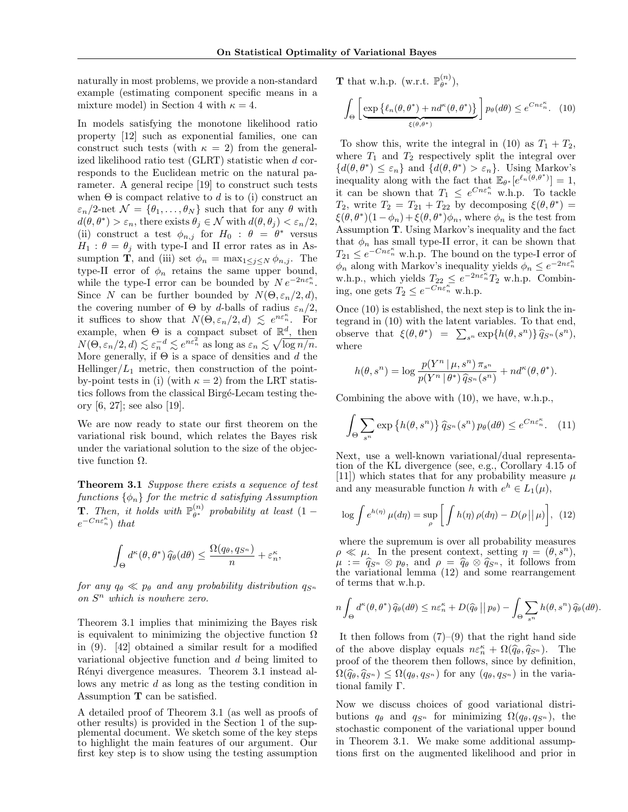naturally in most problems, we provide a non-standard example (estimating component specific means in a mixture model) in Section 4 with  $\kappa = 4$ .

In models satisfying the monotone likelihood ratio property [12] such as exponential families, one can construct such tests (with  $\kappa = 2$ ) from the generalized likelihood ratio test (GLRT) statistic when d corresponds to the Euclidean metric on the natural parameter. A general recipe [19] to construct such tests when  $\Theta$  is compact relative to d is to (i) construct an  $\varepsilon_n/2$ -net  $\mathcal{N} = {\theta_1, \ldots, \theta_N}$  such that for any  $\theta$  with  $d(\theta, \theta^*) > \varepsilon_n$ , there exists  $\theta_j \in \mathcal{N}$  with  $d(\theta, \theta_j) < \varepsilon_n/2$ , (ii) construct a test  $\phi_{n,j}$  for  $H_0$ :  $\theta = \theta^*$  versus  $H_1$ :  $\theta = \theta_i$  with type-I and II error rates as in Assumption **T**, and (iii) set  $\phi_n = \max_{1 \leq j \leq N} \phi_{n,j}$ . The type-II error of  $\phi_n$  retains the same upper bound, while the type-I error can be bounded by  $N e^{-2n\varepsilon_n^{\kappa}}$ . Since N can be further bounded by  $N(\Theta, \varepsilon_n/2, d)$ , the covering number of  $\Theta$  by d-balls of radius  $\varepsilon_n/2$ , it suffices to show that  $N(\Theta, \varepsilon_n/2, d) \leq e^{n \varepsilon_n^{\kappa}}$ . For example, when  $\Theta$  is a compact subset of  $\mathbb{R}^d$ , then  $N(\Theta, \varepsilon_n/2, d) \lesssim \varepsilon_n^{-d} \lesssim e^{n\varepsilon_n^2}$  as long as  $\varepsilon_n \lesssim \sqrt{\log n/n}$ . More generally, if  $\Theta$  is a space of densities and d the Hellinger/ $L_1$  metric, then construction of the pointby-point tests in (i) (with  $\kappa = 2$ ) from the LRT statistics follows from the classical Birgé-Lecam testing theory [6, 27]; see also [19].

We are now ready to state our first theorem on the variational risk bound, which relates the Bayes risk under the variational solution to the size of the objective function  $\Omega$ .

Theorem 3.1 Suppose there exists a sequence of test functions  $\{\phi_n\}$  for the metric d satisfying Assumption **T**. Then, it holds with  $\mathbb{P}_{\theta^*}^{(n)}$  $\theta^{(n)}$  probability at least  $(1$  $e^{-Cn\varepsilon_n^{\kappa}}$ ) that

$$
\int_{\Theta} d^{\kappa}(\theta, \theta^*) \, \widehat{q}_{\theta}(d\theta) \le \frac{\Omega(q_{\theta}, q_{S^n})}{n} + \varepsilon_n^{\kappa},
$$

for any  $q_\theta \ll p_\theta$  and any probability distribution  $q_{S^n}$ on  $S<sup>n</sup>$  which is nowhere zero.

Theorem 3.1 implies that minimizing the Bayes risk is equivalent to minimizing the objective function  $\Omega$ in (9). [42] obtained a similar result for a modified variational objective function and d being limited to Rényi divergence measures. Theorem 3.1 instead allows any metric d as long as the testing condition in Assumption T can be satisfied.

A detailed proof of Theorem 3.1 (as well as proofs of other results) is provided in the Section 1 of the supplemental document. We sketch some of the key steps to highlight the main features of our argument. Our first key step is to show using the testing assumption

**T** that w.h.p. (w.r.t.  $\mathbb{P}_{\theta^*}^{(n)}$  $\binom{n}{\theta^*},$ 

$$
\int_{\Theta} \left[ \underbrace{\exp \left\{ \ell_n(\theta, \theta^*) + nd^{\kappa}(\theta, \theta^*) \right\}}_{\xi(\theta, \theta^*)} \right] p_{\theta}(d\theta) \leq e^{C n \varepsilon_n^{\kappa}}. \tag{10}
$$

To show this, write the integral in (10) as  $T_1 + T_2$ , where  $T_1$  and  $T_2$  respectively split the integral over  $\{d(\theta, \theta^*) \leq \varepsilon_n\}$  and  $\{d(\theta, \theta^*) > \varepsilon_n\}$ . Using Markov's inequality along with the fact that  $\mathbb{E}_{\theta^*}[e^{\ell_n(\theta,\theta^*)}] = 1$ , it can be shown that  $T_1 \n\t\leq e^{C n \varepsilon_n^{\kappa}}$  w.h.p. To tackle  $T_2$ , write  $T_2 = T_{21} + T_{22}$  by decomposing  $\xi(\theta, \theta^*) =$  $\xi(\theta, \theta^*)(1-\phi_n) + \xi(\theta, \theta^*)\phi_n$ , where  $\phi_n$  is the test from Assumption T. Using Markov's inequality and the fact that  $\phi_n$  has small type-II error, it can be shown that  $T_{21} \leq e^{-Cn\varepsilon_n^{\kappa}}$  w.h.p. The bound on the type-I error of  $\phi_n$  along with Markov's inequality yields  $\phi_n \leq e^{-2n\varepsilon_n^{\kappa}}$ w.h.p., which yields  $T_{22} \n\t\leq e^{-2n\varepsilon_n^k} T_2$  w.h.p. Combining, one gets  $T_2 \leq e^{-Cn\epsilon_n^{\kappa}}$  w.h.p.

Once (10) is established, the next step is to link the integrand in (10) with the latent variables. To that end, observe that  $\xi(\theta, \theta^*) = \sum_{s^n} \exp\{h(\theta, s^n)\} \widehat{q}_{S^n}(s^n),$ where

$$
h(\theta, s^n) = \log \frac{p(Y^n | \mu, s^n) \pi_{s^n}}{p(Y^n | \theta^*) \hat{q}_{S^n}(s^n)} + nd^{\kappa}(\theta, \theta^*).
$$

Combining the above with (10), we have, w.h.p.,

$$
\int_{\Theta} \sum_{s^n} \exp\left\{ h(\theta, s^n) \right\} \hat{q}_{S^n}(s^n) \, p_{\theta}(d\theta) \leq e^{C n \varepsilon_n^{\kappa}}. \tag{11}
$$

Next, use a well-known variational/dual representation of the KL divergence (see, e.g., Corollary 4.15 of [11]) which states that for any probability measure  $\mu$ and any measurable function h with  $e^h \in L_1(\mu)$ ,

$$
\log \int e^{h(\eta)} \,\mu(d\eta) = \sup_{\rho} \left[ \int h(\eta) \,\rho(d\eta) - D(\rho \, || \, \mu) \right], \tag{12}
$$

where the supremum is over all probability measures  $\rho \ll \mu$ . In the present context, setting  $\eta = (\theta, s^n)$ ,  $\mu := \hat{q}_{\mathcal{S}^n} \otimes p_\theta$ , and  $\rho = \hat{q}_\theta \otimes \hat{q}_{\mathcal{S}^n}$ , it follows from the variational lemma (12) and some rearrangement of terms that w.h.p.

$$
n\int_{\Theta} d^{\kappa}(\theta,\theta^*) \widehat{q}_{\theta}(d\theta) \leq n \varepsilon_n^{\kappa} + D(\widehat{q}_{\theta} \mid | p_{\theta}) - \int_{\Theta} \sum_{s^n} h(\theta,s^n) \widehat{q}_{\theta}(d\theta).
$$

It then follows from  $(7)-(9)$  that the right hand side of the above display equals  $n\varepsilon_n^{\kappa} + \Omega(\hat{q}_{\theta}, \hat{q}_{S^n})$ . The proof of the theorem then follows, since by definition,  $\Omega(\hat{q}_{\theta}, \hat{q}_{S^n}) \leq \Omega(q_{\theta}, q_{S^n})$  for any  $(q_{\theta}, q_{S^n})$  in the variational family Γ.

Now we discuss choices of good variational distributions  $q_{\theta}$  and  $q_{S^n}$  for minimizing  $\Omega(q_{\theta}, q_{S^n})$ , the stochastic component of the variational upper bound in Theorem 3.1. We make some additional assumptions first on the augmented likelihood and prior in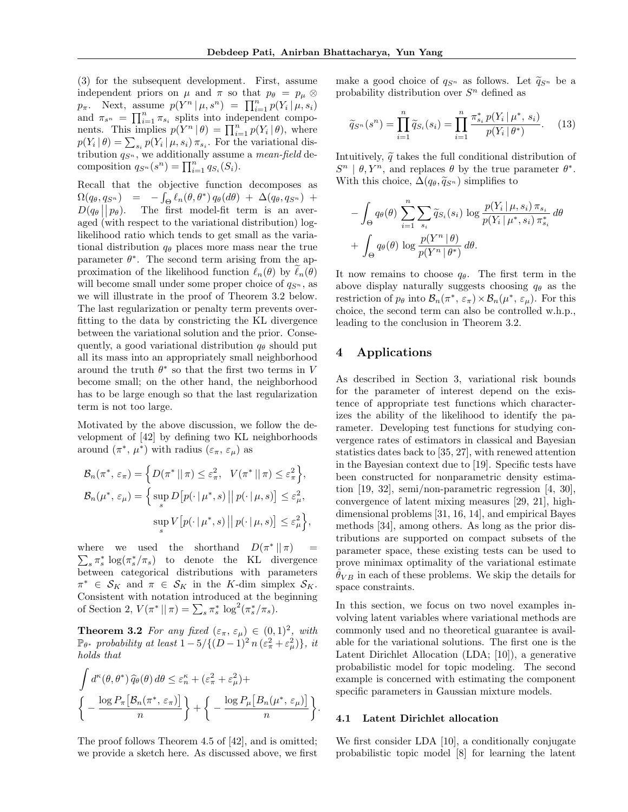(3) for the subsequent development. First, assume independent priors on  $\mu$  and  $\pi$  so that  $p_{\theta} = p_{\mu} \otimes$  $p_{\pi}$ . Next, assume  $p(Y^{n} | \mu, s^{n}) = \prod_{i=1}^{n} p(Y_{i} | \mu, s_{i})$ and  $\pi_{s^n} = \prod_{i=1}^n \pi_{s_i}$  splits into independent components. This implies  $p(Y^n | \theta) = \prod_{i=1}^n p(Y_i | \theta)$ , where  $p(Y_i | \theta) = \sum_{s_i} p(Y_i | \mu, s_i) \pi_{s_i}$ . For the variational distribution  $q_{S^n}$ , we additionally assume a *mean-field* decomposition  $q_{S^n}(s^n) = \prod_{i=1}^n q_{S_i}(S_i)$ .

Recall that the objective function decomposes as  $\Omega(q_\theta, q_{S^n}) = -\int_{\Theta} \ell_n(\theta, \theta^*) q_\theta(d\theta) + \Delta(q_\theta, q_{S^n}) +$  $D(q_{\theta} || p_{\theta})$ . The first model-fit term is an averaged (with respect to the variational distribution) loglikelihood ratio which tends to get small as the variational distribution  $q_{\theta}$  places more mass near the true parameter  $\theta^*$ . The second term arising from the approximation of the likelihood function  $\ell_n(\theta)$  by  $\ell_n(\theta)$ will become small under some proper choice of  $q_{S<sup>n</sup>}$ , as we will illustrate in the proof of Theorem 3.2 below. The last regularization or penalty term prevents overfitting to the data by constricting the KL divergence between the variational solution and the prior. Consequently, a good variational distribution  $q_{\theta}$  should put all its mass into an appropriately small neighborhood around the truth  $\theta^*$  so that the first two terms in V become small; on the other hand, the neighborhood has to be large enough so that the last regularization term is not too large.

Motivated by the above discussion, we follow the development of [42] by defining two KL neighborhoods around  $(\pi^*, \mu^*)$  with radius  $(\varepsilon_{\pi}, \varepsilon_{\mu})$  as

$$
\mathcal{B}_n(\pi^*, \varepsilon_\pi) = \left\{ D(\pi^* \mid \mid \pi) \le \varepsilon_\pi^2, \quad V(\pi^* \mid \mid \pi) \le \varepsilon_\pi^2 \right\},
$$
  

$$
\mathcal{B}_n(\mu^*, \varepsilon_\mu) = \left\{ \sup_s D\left[ p(\cdot \mid \mu^*, s) \mid \mid p(\cdot \mid \mu, s) \right] \le \varepsilon_\mu^2,
$$
  

$$
\sup_s V\left[ p(\cdot \mid \mu^*, s) \mid \mid p(\cdot \mid \mu, s) \right] \le \varepsilon_\mu^2 \right\},
$$

where we used the shorthand  $D(\pi^* || \pi)$  =  $\sum_{s} \pi_{s}^{*} \log(\pi_{s}^{*}/\pi_{s})$  to denote the KL divergence between categorical distributions with parameters  $\pi^* \in \mathcal{S}_K$  and  $\pi \in \mathcal{S}_K$  in the K-dim simplex  $\mathcal{S}_K$ . Consistent with notation introduced at the beginning of Section 2,  $V(\pi^* \| \pi) = \sum_s \pi_s^* \log^2(\pi_s^* / \pi_s)$ .

**Theorem 3.2** For any fixed  $(\varepsilon_{\pi}, \varepsilon_{\mu}) \in (0, 1)^2$ , with  $\mathbb{P}_{\theta^*}$  probability at least  $1-5/\{(D-1)^2 n (\varepsilon_{\pi}^2+\varepsilon_{\mu}^2)\}\,$ , it holds that

$$
\int d^{\kappa}(\theta, \theta^*) \widehat{q}_{\theta}(\theta) d\theta \leq \varepsilon_n^{\kappa} + (\varepsilon_\pi^2 + \varepsilon_\mu^2) +
$$
\n
$$
\left\{ -\frac{\log P_\pi \left[ \mathcal{B}_n(\pi^*, \varepsilon_\pi) \right]}{n} \right\} + \left\{ -\frac{\log P_\mu \left[ B_n(\mu^*, \varepsilon_\mu) \right]}{n} \right\}.
$$

The proof follows Theorem 4.5 of [42], and is omitted; we provide a sketch here. As discussed above, we first make a good choice of  $q_{S^n}$  as follows. Let  $\widetilde{q}_{S^n}$  be a probability distribution over  $S<sup>n</sup>$  defined as

$$
\widetilde{q}_{S^n}(s^n) = \prod_{i=1}^n \widetilde{q}_{S_i}(s_i) = \prod_{i=1}^n \frac{\pi_{s_i}^* p(Y_i | \mu^*, s_i)}{p(Y_i | \theta^*)}.
$$
 (13)

Intuitively,  $\tilde{q}$  takes the full conditional distribution of  $S^n | \theta, Y^n$ , and replaces  $\theta$  by the true parameter  $\theta^*$ . With this choice,  $\Delta(q_\theta, \tilde{q}_{S^n})$  simplifies to

$$
- \int_{\Theta} q_{\theta}(\theta) \sum_{i=1}^{n} \sum_{s_i} \widetilde{q}_{S_i}(s_i) \log \frac{p(Y_i | \mu, s_i) \pi_{s_i}}{p(Y_i | \mu^*, s_i) \pi_{s_i}^*} d\theta
$$

$$
+ \int_{\Theta} q_{\theta}(\theta) \log \frac{p(Y^n | \theta)}{p(Y^n | \theta^*)} d\theta.
$$

It now remains to choose  $q_{\theta}$ . The first term in the above display naturally suggests choosing  $q_{\theta}$  as the restriction of  $p_\theta$  into  $\mathcal{B}_n(\pi^*, \varepsilon_\pi) \times \mathcal{B}_n(\mu^*, \varepsilon_\mu)$ . For this choice, the second term can also be controlled w.h.p., leading to the conclusion in Theorem 3.2.

# 4 Applications

As described in Section 3, variational risk bounds for the parameter of interest depend on the existence of appropriate test functions which characterizes the ability of the likelihood to identify the parameter. Developing test functions for studying convergence rates of estimators in classical and Bayesian statistics dates back to [35, 27], with renewed attention in the Bayesian context due to [19]. Specific tests have been constructed for nonparametric density estimation [19, 32], semi/non-parametric regression [4, 30], convergence of latent mixing measures [29, 21], highdimensional problems [31, 16, 14], and empirical Bayes methods [34], among others. As long as the prior distributions are supported on compact subsets of the parameter space, these existing tests can be used to prove minimax optimality of the variational estimate  $\ddot{\theta}_{VB}$  in each of these problems. We skip the details for space constraints.

In this section, we focus on two novel examples involving latent variables where variational methods are commonly used and no theoretical guarantee is available for the variational solutions. The first one is the Latent Dirichlet Allocation (LDA; [10]), a generative probabilistic model for topic modeling. The second example is concerned with estimating the component specific parameters in Gaussian mixture models.

#### 4.1 Latent Dirichlet allocation

We first consider LDA [10], a conditionally conjugate probabilistic topic model [8] for learning the latent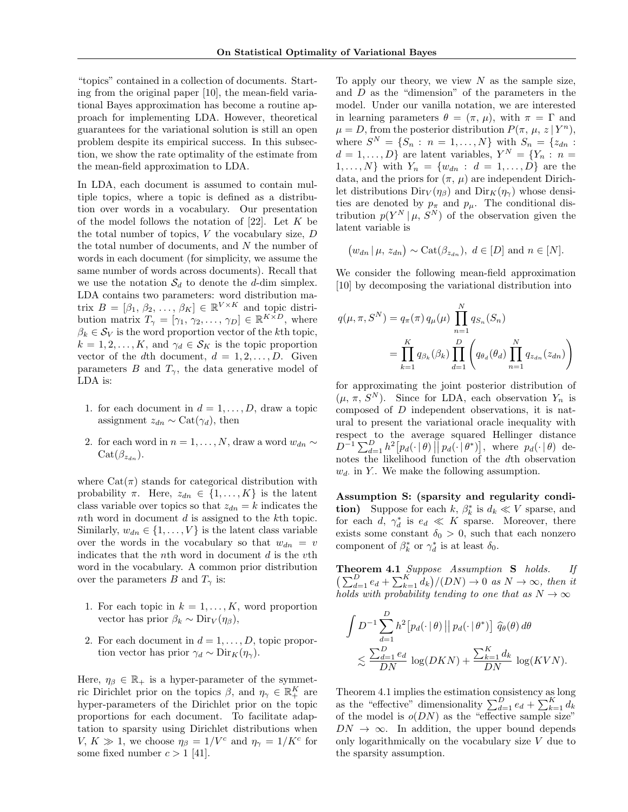"topics" contained in a collection of documents. Starting from the original paper [10], the mean-field variational Bayes approximation has become a routine approach for implementing LDA. However, theoretical guarantees for the variational solution is still an open problem despite its empirical success. In this subsection, we show the rate optimality of the estimate from the mean-field approximation to LDA.

In LDA, each document is assumed to contain multiple topics, where a topic is defined as a distribution over words in a vocabulary. Our presentation of the model follows the notation of  $[22]$ . Let K be the total number of topics,  $V$  the vocabulary size,  $D$ the total number of documents, and  $N$  the number of words in each document (for simplicity, we assume the same number of words across documents). Recall that we use the notation  $S_d$  to denote the d-dim simplex. LDA contains two parameters: word distribution matrix  $B = [\beta_1, \beta_2, \dots, \beta_K] \in \mathbb{R}^{V \times K}$  and topic distribution matrix  $T_{\gamma} = [\gamma_1, \gamma_2, \dots, \gamma_D] \in \mathbb{R}^{K \times D}$ , where  $\beta_k \in \mathcal{S}_V$  is the word proportion vector of the kth topic,  $k = 1, 2, \ldots, K$ , and  $\gamma_d \in \mathcal{S}_K$  is the topic proportion vector of the dth document,  $d = 1, 2, \ldots, D$ . Given parameters B and  $T_{\gamma}$ , the data generative model of LDA is:

- 1. for each document in  $d = 1, \ldots, D$ , draw a topic assignment  $z_{dn} \sim \text{Cat}(\gamma_d)$ , then
- 2. for each word in  $n = 1, ..., N$ , draw a word  $w_{dn} \sim$  $Cat(\beta_{z_d})$ .

where  $Cat(\pi)$  stands for categorical distribution with probability  $\pi$ . Here,  $z_{dn} \in \{1, ..., K\}$  is the latent class variable over topics so that  $z_{dn} = k$  indicates the nth word in document d is assigned to the kth topic. Similarly,  $w_{dn} \in \{1, \ldots, V\}$  is the latent class variable over the words in the vocabulary so that  $w_{dn} = v$ indicates that the *n*th word in document  $d$  is the  $v$ <sup>th</sup> word in the vocabulary. A common prior distribution over the parameters B and  $T_{\gamma}$  is:

- 1. For each topic in  $k = 1, \ldots, K$ , word proportion vector has prior  $\beta_k \sim \text{Dir}_V(\eta_\beta)$ ,
- 2. For each document in  $d = 1, \ldots, D$ , topic proportion vector has prior  $\gamma_d \sim \text{Dir}_K(\eta_\gamma)$ .

Here,  $\eta_{\beta} \in \mathbb{R}_+$  is a hyper-parameter of the symmetric Dirichlet prior on the topics  $\beta$ , and  $\eta_{\gamma} \in \mathbb{R}_{+}^{K}$  are hyper-parameters of the Dirichlet prior on the topic proportions for each document. To facilitate adaptation to sparsity using Dirichlet distributions when V,  $K \gg 1$ , we choose  $\eta_{\beta} = 1/V^c$  and  $\eta_{\gamma} = 1/K^c$  for some fixed number  $c > 1$  [41].

To apply our theory, we view  $N$  as the sample size, and D as the "dimension" of the parameters in the model. Under our vanilla notation, we are interested in learning parameters  $\theta = (\pi, \mu)$ , with  $\pi = \Gamma$  and  $\mu = D$ , from the posterior distribution  $P(\pi, \mu, z | Y^n)$ , where  $S^N = \{S_n : n = 1, ..., N\}$  with  $S_n = \{z_{dn} :$  $d = 1, \ldots, D$  are latent variables,  $Y^N = \{Y_n : n =$  $1, ..., N$ } with  $Y_n = \{w_{dn} : d = 1, ..., D\}$  are the data, and the priors for  $(\pi, \mu)$  are independent Dirichlet distributions  $\text{Dir}_V(\eta_\beta)$  and  $\text{Dir}_K(\eta_\gamma)$  whose densities are denoted by  $p_{\pi}$  and  $p_{\mu}$ . The conditional distribution  $p(Y^N | \mu, S^N)$  of the observation given the latent variable is

$$
(w_{dn} | \mu, z_{dn}) \sim \text{Cat}(\beta_{z_{dn}}), d \in [D] \text{ and } n \in [N].
$$

We consider the following mean-field approximation [10] by decomposing the variational distribution into

$$
q(\mu, \pi, S^N) = q_{\pi}(\pi) q_{\mu}(\mu) \prod_{n=1}^N q_{S_n}(S_n)
$$
  
= 
$$
\prod_{k=1}^K q_{\beta_k}(\beta_k) \prod_{d=1}^D \left( q_{\theta_d}(\theta_d) \prod_{n=1}^N q_{z_{dn}}(z_{dn}) \right)
$$

for approximating the joint posterior distribution of  $(\mu, \pi, S^N)$ . Since for LDA, each observation  $Y_n$  is composed of D independent observations, it is natural to present the variational oracle inequality with respect to the average squared Hellinger distance  $D^{-1}\sum_{d=1}^D h^2[p_d(\cdot|\theta)] p_d(\cdot|\theta^*)]$ , where  $p_d(\cdot|\theta)$  denotes the likelihood function of the dth observation  $w_d$ . in Y.. We make the following assumption.

Assumption S: (sparsity and regularity condi**tion**) Suppose for each  $k, \beta_k^*$  is  $d_k \ll V$  sparse, and for each d,  $\gamma_d^*$  is  $e_d \ll K$  sparse. Moreover, there exists some constant  $\delta_0 > 0$ , such that each nonzero component of  $\beta_k^*$  or  $\gamma_d^*$  is at least  $\delta_0$ .

Theorem 4.1 Suppose Assumption S holds. If  $\left(\sum_{d=1}^D e_d + \sum_{k=1}^K d_k\right)/(DN) \to 0$  as  $N \to \infty$ , then it holds with probability tending to one that as  $N \to \infty$ 

$$
\int D^{-1} \sum_{d=1}^{D} h^2 \big[ p_d(\cdot \,|\, \theta) \,\big|\big| \, p_d(\cdot \,|\, \theta^*) \big] \, \widehat{q}_{\theta}(\theta) \, d\theta
$$
\n
$$
\lesssim \frac{\sum_{d=1}^{D} e_d}{DN} \log(DKN) + \frac{\sum_{k=1}^{K} d_k}{DN} \log(KVN).
$$

Theorem 4.1 implies the estimation consistency as long as the "effective" dimensionality  $\sum_{d=1}^{D} e_d + \sum_{k=1}^{K} d_k$ of the model is  $o(DN)$  as the "effective sample size"  $DN \to \infty$ . In addition, the upper bound depends only logarithmically on the vocabulary size V due to the sparsity assumption.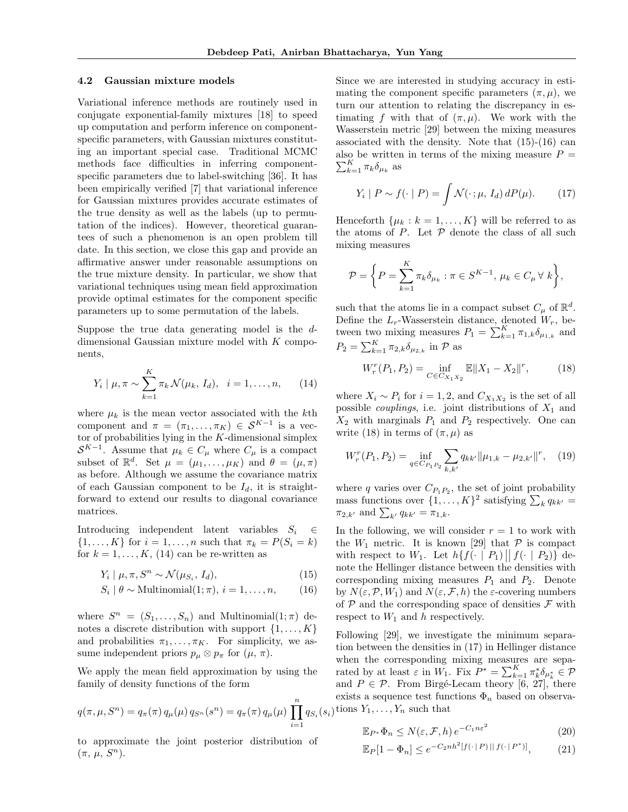#### 4.2 Gaussian mixture models

Variational inference methods are routinely used in conjugate exponential-family mixtures [18] to speed up computation and perform inference on componentspecific parameters, with Gaussian mixtures constituting an important special case. Traditional MCMC methods face difficulties in inferring componentspecific parameters due to label-switching [36]. It has been empirically verified [7] that variational inference for Gaussian mixtures provides accurate estimates of the true density as well as the labels (up to permutation of the indices). However, theoretical guarantees of such a phenomenon is an open problem till date. In this section, we close this gap and provide an affirmative answer under reasonable assumptions on the true mixture density. In particular, we show that variational techniques using mean field approximation provide optimal estimates for the component specific parameters up to some permutation of the labels.

Suppose the true data generating model is the ddimensional Gaussian mixture model with K components,

$$
Y_i | \mu, \pi \sim \sum_{k=1}^K \pi_k \mathcal{N}(\mu_k, I_d), \quad i = 1, ..., n,
$$
 (14)

where  $\mu_k$  is the mean vector associated with the kth component and  $\pi = (\pi_1, \ldots, \pi_K) \in S^{K-1}$  is a vector of probabilities lying in the  $K$ -dimensional simplex  $\mathcal{S}^{K-1}$ . Assume that  $\mu_k \in C_\mu$  where  $C_\mu$  is a compact subset of  $\mathbb{R}^d$ . Set  $\mu = (\mu_1, \ldots, \mu_K)$  and  $\theta = (\mu, \pi)$ as before. Although we assume the covariance matrix of each Gaussian component to be  $I_d$ , it is straightforward to extend our results to diagonal covariance matrices.

Introducing independent latent variables  $S_i \in \mathcal{E}$  $\{1, ..., K\}$  for  $i = 1, ..., n$  such that  $\pi_k = P(S_i = k)$ for  $k = 1, \ldots, K, (14)$  can be re-written as

$$
Y_i \mid \mu, \pi, S^n \sim \mathcal{N}(\mu_{S_i}, I_d), \tag{15}
$$

$$
S_i | \theta \sim \text{Multinomial}(1; \pi), i = 1, \dots, n,
$$
 (16)

where  $S^n = (S_1, \ldots, S_n)$  and Multinomial $(1; \pi)$  denotes a discrete distribution with support  $\{1, \ldots, K\}$ and probabilities  $\pi_1, \ldots, \pi_K$ . For simplicity, we assume independent priors  $p_{\mu} \otimes p_{\pi}$  for  $(\mu, \pi)$ .

We apply the mean field approximation by using the family of density functions of the form

$$
q(\pi, \mu, S^n) = q_{\pi}(\pi) q_{\mu}(\mu) q_{S^n}(s^n) = q_{\pi}(\pi) q_{\mu}(\mu) \prod_{i=1}^n q_{S_i}(s_i)
$$

to approximate the joint posterior distribution of  $(\pi, \mu, S^n)$ .

Since we are interested in studying accuracy in estimating the component specific parameters  $(\pi, \mu)$ , we turn our attention to relating the discrepancy in estimating f with that of  $(\pi, \mu)$ . We work with the Wasserstein metric [29] between the mixing measures associated with the density. Note that  $(15)-(16)$  can  $\sum_{k=1}^K \pi_k \delta_{\mu_k}$  as also be written in terms of the mixing measure  $P =$ 

$$
Y_i \mid P \sim f(\cdot \mid P) = \int \mathcal{N}(\cdot \mid \mu, I_d) \, dP(\mu). \tag{17}
$$

Henceforth  $\{\mu_k : k = 1, ..., K\}$  will be referred to as the atoms of  $P$ . Let  $P$  denote the class of all such mixing measures

$$
\mathcal{P} = \left\{ P = \sum_{k=1}^{K} \pi_k \delta_{\mu_k} : \pi \in S^{K-1}, \, \mu_k \in C_{\mu} \,\forall \, k \right\},\
$$

such that the atoms lie in a compact subset  $C_{\mu}$  of  $\mathbb{R}^{d}$ . Define the  $L_r$ -Wasserstein distance, denoted  $W_r$ , between two mixing measures  $P_1 = \sum_{k=1}^{K} \pi_{1,k} \delta_{\mu_{1,k}}$  and  $P_2 = \sum_{k=1}^K \pi_{2,k} \delta_{\mu_{2,k}}$  in  $P$  as

$$
W_r^r(P_1, P_2) = \inf_{C \in C_{X_1 X_2}} \mathbb{E} \|X_1 - X_2\|^r, \tag{18}
$$

where  $X_i \sim P_i$  for  $i = 1, 2$ , and  $C_{X_1 X_2}$  is the set of all possible *couplings*, i.e. joint distributions of  $X_1$  and  $X_2$  with marginals  $P_1$  and  $P_2$  respectively. One can write (18) in terms of  $(\pi, \mu)$  as

$$
W_r^r(P_1, P_2) = \inf_{q \in C_{P_1 P_2}} \sum_{k, k'} q_{kk'} ||\mu_{1,k} - \mu_{2,k'}||^r, \quad (19)
$$

where q varies over  $C_{P_1P_2}$ , the set of joint probability mass functions over  $\{1, \ldots, K\}^2$  satisfying  $\sum_k q_{kk'} =$  $\pi_{2,k'}$  and  $\sum_{k'} q_{kk'} = \pi_{1,k}$ .

In the following, we will consider  $r = 1$  to work with the  $W_1$  metric. It is known [29] that  $P$  is compact with respect to  $W_1$ . Let  $h\{f(\cdot \mid P_1) \mid f(\cdot \mid P_2)\}$  denote the Hellinger distance between the densities with corresponding mixing measures  $P_1$  and  $P_2$ . Denote by  $N(\varepsilon,\mathcal{P},W_1)$  and  $N(\varepsilon,\mathcal{F},h)$  the  $\varepsilon$ -covering numbers of  $P$  and the corresponding space of densities  $\mathcal F$  with respect to  $W_1$  and h respectively.

Following [29], we investigate the minimum separation between the densities in (17) in Hellinger distance when the corresponding mixing measures are separated by at least  $\varepsilon$  in  $W_1$ . Fix  $P^* = \sum_{k=1}^K \pi_k^* \delta_{\mu_k^*} \in \mathcal{P}$ and  $P \in \mathcal{P}$ . From Birgé-Lecam theory [6, 27], there exists a sequence test functions  $\Phi_n$  based on observations  $Y_1, \ldots, Y_n$  such that

$$
\mathbb{E}_{P^*} \Phi_n \le N(\varepsilon, \mathcal{F}, h) e^{-C_1 n \varepsilon^2}
$$
\n(20)

$$
\mathbb{E}_P[1 - \Phi_n] \le e^{-C_2 n h^2 [f(\cdot | P) || f(\cdot | P^*)]},\tag{21}
$$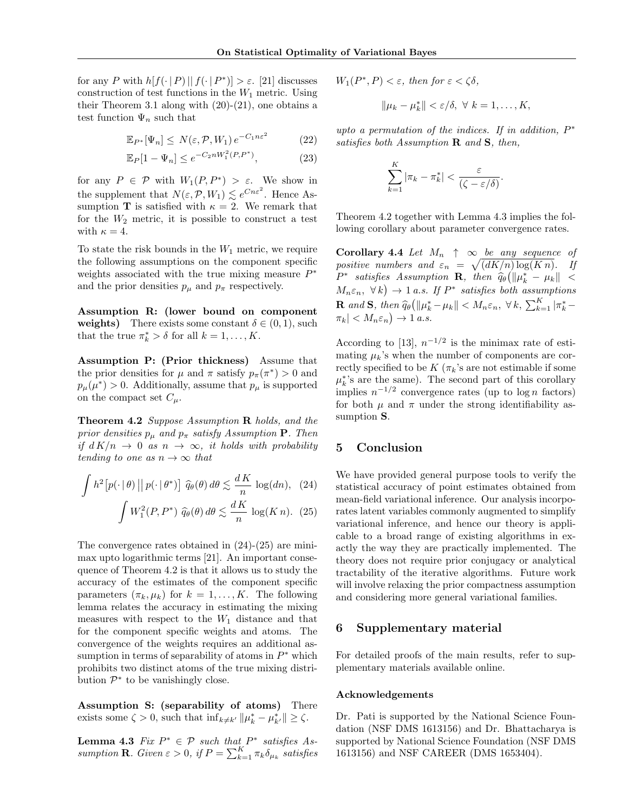for any P with  $h[f(\cdot | P) || f(\cdot | P^*)] > \varepsilon$ . [21] discusses construction of test functions in the  $W_1$  metric. Using their Theorem 3.1 along with  $(20)-(21)$ , one obtains a test function  $\Psi_n$  such that

$$
\mathbb{E}_{P^*}[\Psi_n] \le N(\varepsilon, \mathcal{P}, W_1) e^{-C_1 n \varepsilon^2} \tag{22}
$$

$$
\mathbb{E}_P[1 - \Psi_n] \le e^{-C_2 n W_1^2(P, P^*)},\tag{23}
$$

for any  $P \in \mathcal{P}$  with  $W_1(P, P^*) > \varepsilon$ . We show in the supplement that  $N(\varepsilon, \mathcal{P}, W_1) \lesssim e^{Cn\varepsilon^2}$ . Hence Assumption **T** is satisfied with  $\kappa = 2$ . We remark that for the  $W_2$  metric, it is possible to construct a test with  $\kappa = 4$ .

To state the risk bounds in the  $W_1$  metric, we require the following assumptions on the component specific weights associated with the true mixing measure  $P^*$ and the prior densities  $p_{\mu}$  and  $p_{\pi}$  respectively.

Assumption R: (lower bound on component weights) There exists some constant  $\delta \in (0,1)$ , such that the true  $\pi_k^* > \delta$  for all  $k = 1, ..., K$ .

Assumption P: (Prior thickness) Assume that the prior densities for  $\mu$  and  $\pi$  satisfy  $p_{\pi}(\pi^*) > 0$  and  $p_{\mu}(\mu^*) > 0$ . Additionally, assume that  $p_{\mu}$  is supported on the compact set  $C_{\mu}$ .

Theorem 4.2 Suppose Assumption R holds, and the prior densities  $p_{\mu}$  and  $p_{\pi}$  satisfy Assumption **P**. Then if  $d K/n \rightarrow 0$  as  $n \rightarrow \infty$ , it holds with probability tending to one as  $n \to \infty$  that

$$
\int h^2 \left[ p(\cdot | \theta) || p(\cdot | \theta^*) \right] \widehat{q}_{\theta}(\theta) d\theta \lesssim \frac{dK}{n} \log(dn), \quad (24)
$$

$$
\int W_1^2(P, P^*) \widehat{q}_{\theta}(\theta) d\theta \lesssim \frac{dK}{n} \log(K n). \quad (25)
$$

The convergence rates obtained in (24)-(25) are minimax upto logarithmic terms [21]. An important consequence of Theorem 4.2 is that it allows us to study the accuracy of the estimates of the component specific parameters  $(\pi_k, \mu_k)$  for  $k = 1, \ldots, K$ . The following lemma relates the accuracy in estimating the mixing measures with respect to the  $W_1$  distance and that for the component specific weights and atoms. The convergence of the weights requires an additional assumption in terms of separability of atoms in  $P^*$  which prohibits two distinct atoms of the true mixing distribution  $\mathcal{P}^*$  to be vanishingly close.

Assumption S: (separability of atoms) There exists some  $\zeta > 0$ , such that  $\inf_{k \neq k'} ||\mu_k^* - \mu_{k'}^*|| \geq \zeta$ .

**Lemma 4.3** Fix  $P^* \in \mathcal{P}$  such that  $P^*$  satisfies Assumption **R**. Given  $\varepsilon > 0$ , if  $P = \sum_{k=1}^{K} \pi_k \delta_{\mu_k}$  satisfies  $W_1(P^*, P) < \varepsilon$ , then for  $\varepsilon < \zeta \delta$ ,

$$
\|\mu_k - \mu_k^*\| < \varepsilon/\delta, \ \forall \ k = 1, \dots, K,
$$

upto a permutation of the indices. If in addition,  $P^*$ satisfies both Assumption  $\bf{R}$  and  $\bf{S}$ , then,

$$
\sum_{k=1}^K |\pi_k - \pi_k^*| < \frac{\varepsilon}{(\zeta - \varepsilon/\delta)}.
$$

Theorem 4.2 together with Lemma 4.3 implies the following corollary about parameter convergence rates.

Corollary 4.4 Let  $M_n \uparrow \infty$  be any sequence of positive numbers and  $\varepsilon_n = \sqrt{\left(dK/n\right)\log(K n)}$ . If  $P^*$  satisfies Assumption **R**, then  $\widehat{q}_{\theta}(\|\mu_k^* - \mu_k\| < M_{\epsilon} \sim \mathcal{F}_k)$  $M_n \varepsilon_n, \ \forall k$   $\rightarrow$  1 a.s. If  $P^*$  satisfies both assumptions **R** and **S**, then  $\widehat{q}_{\theta}(\|\mu_k^* - \mu_k\| < M_n \varepsilon_n, \ \forall k, \ \sum_{k=1}^K |\pi_k^* - \pi_k| > M_n \varepsilon_n$  $|\pi_k| < M_n \varepsilon_n$   $\to 1$  a.s.

According to [13],  $n^{-1/2}$  is the minimax rate of estimating  $\mu_k$ 's when the number of components are correctly specified to be  $K(\pi_k)$ 's are not estimable if some  $\mu_k^*$ 's are the same). The second part of this corollary implies  $n^{-1/2}$  convergence rates (up to  $\log n$  factors) for both  $\mu$  and  $\pi$  under the strong identifiability assumption S.

## 5 Conclusion

We have provided general purpose tools to verify the statistical accuracy of point estimates obtained from mean-field variational inference. Our analysis incorporates latent variables commonly augmented to simplify variational inference, and hence our theory is applicable to a broad range of existing algorithms in exactly the way they are practically implemented. The theory does not require prior conjugacy or analytical tractability of the iterative algorithms. Future work will involve relaxing the prior compactness assumption and considering more general variational families.

### 6 Supplementary material

For detailed proofs of the main results, refer to supplementary materials available online.

### Acknowledgements

Dr. Pati is supported by the National Science Foundation (NSF DMS 1613156) and Dr. Bhattacharya is supported by National Science Foundation (NSF DMS 1613156) and NSF CAREER (DMS 1653404).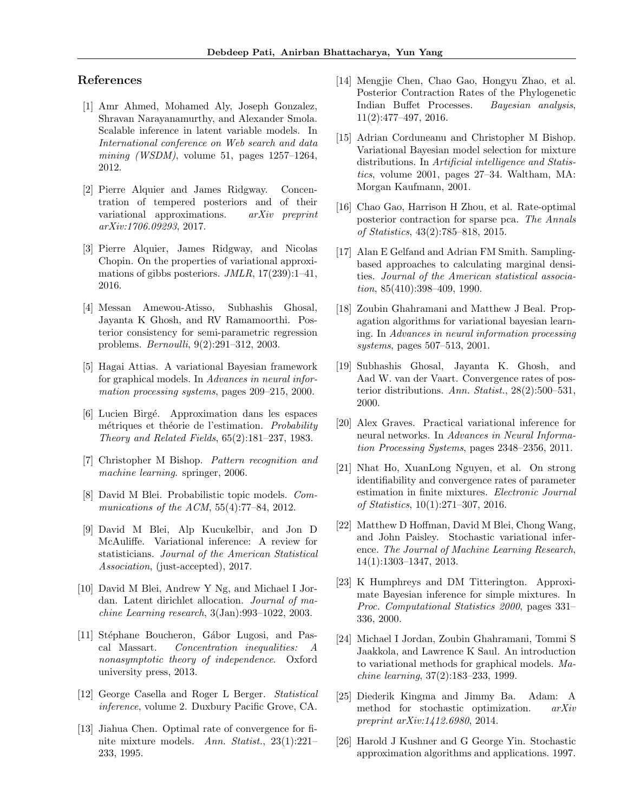## References

- [1] Amr Ahmed, Mohamed Aly, Joseph Gonzalez, Shravan Narayanamurthy, and Alexander Smola. Scalable inference in latent variable models. In International conference on Web search and data mining (WSDM), volume 51, pages  $1257-1264$ , 2012.
- [2] Pierre Alquier and James Ridgway. Concentration of tempered posteriors and of their variational approximations. arXiv preprint arXiv:1706.09293, 2017.
- [3] Pierre Alquier, James Ridgway, and Nicolas Chopin. On the properties of variational approximations of gibbs posteriors.  $JMLR$ ,  $17(239):1-41$ , 2016.
- [4] Messan Amewou-Atisso, Subhashis Ghosal, Jayanta K Ghosh, and RV Ramamoorthi. Posterior consistency for semi-parametric regression problems. Bernoulli, 9(2):291–312, 2003.
- [5] Hagai Attias. A variational Bayesian framework for graphical models. In Advances in neural information processing systems, pages 209–215, 2000.
- [6] Lucien Birg´e. Approximation dans les espaces métriques et théorie de l'estimation. Probability Theory and Related Fields, 65(2):181–237, 1983.
- [7] Christopher M Bishop. Pattern recognition and machine learning. springer, 2006.
- [8] David M Blei. Probabilistic topic models. Communications of the ACM, 55(4):77–84, 2012.
- [9] David M Blei, Alp Kucukelbir, and Jon D McAuliffe. Variational inference: A review for statisticians. Journal of the American Statistical Association, (just-accepted), 2017.
- [10] David M Blei, Andrew Y Ng, and Michael I Jordan. Latent dirichlet allocation. Journal of machine Learning research, 3(Jan):993–1022, 2003.
- [11] Stéphane Boucheron, Gábor Lugosi, and Pascal Massart. Concentration inequalities: A nonasymptotic theory of independence. Oxford university press, 2013.
- [12] George Casella and Roger L Berger. Statistical inference, volume 2. Duxbury Pacific Grove, CA.
- [13] Jiahua Chen. Optimal rate of convergence for finite mixture models. Ann. Statist., 23(1):221– 233, 1995.
- [14] Mengjie Chen, Chao Gao, Hongyu Zhao, et al. Posterior Contraction Rates of the Phylogenetic Indian Buffet Processes. Bayesian analysis, 11(2):477–497, 2016.
- [15] Adrian Corduneanu and Christopher M Bishop. Variational Bayesian model selection for mixture distributions. In Artificial intelligence and Statistics, volume 2001, pages 27–34. Waltham, MA: Morgan Kaufmann, 2001.
- [16] Chao Gao, Harrison H Zhou, et al. Rate-optimal posterior contraction for sparse pca. The Annals of Statistics, 43(2):785–818, 2015.
- [17] Alan E Gelfand and Adrian FM Smith. Samplingbased approaches to calculating marginal densities. Journal of the American statistical association, 85(410):398–409, 1990.
- [18] Zoubin Ghahramani and Matthew J Beal. Propagation algorithms for variational bayesian learning. In Advances in neural information processing systems, pages 507–513, 2001.
- [19] Subhashis Ghosal, Jayanta K. Ghosh, and Aad W. van der Vaart. Convergence rates of posterior distributions. Ann. Statist., 28(2):500–531, 2000.
- [20] Alex Graves. Practical variational inference for neural networks. In Advances in Neural Information Processing Systems, pages 2348–2356, 2011.
- [21] Nhat Ho, XuanLong Nguyen, et al. On strong identifiability and convergence rates of parameter estimation in finite mixtures. Electronic Journal of Statistics, 10(1):271–307, 2016.
- [22] Matthew D Hoffman, David M Blei, Chong Wang, and John Paisley. Stochastic variational inference. The Journal of Machine Learning Research, 14(1):1303–1347, 2013.
- [23] K Humphreys and DM Titterington. Approximate Bayesian inference for simple mixtures. In Proc. Computational Statistics 2000, pages 331– 336, 2000.
- [24] Michael I Jordan, Zoubin Ghahramani, Tommi S Jaakkola, and Lawrence K Saul. An introduction to variational methods for graphical models. Machine learning, 37(2):183–233, 1999.
- [25] Diederik Kingma and Jimmy Ba. Adam: A method for stochastic optimization. arXiv preprint arXiv:1412.6980, 2014.
- [26] Harold J Kushner and G George Yin. Stochastic approximation algorithms and applications. 1997.